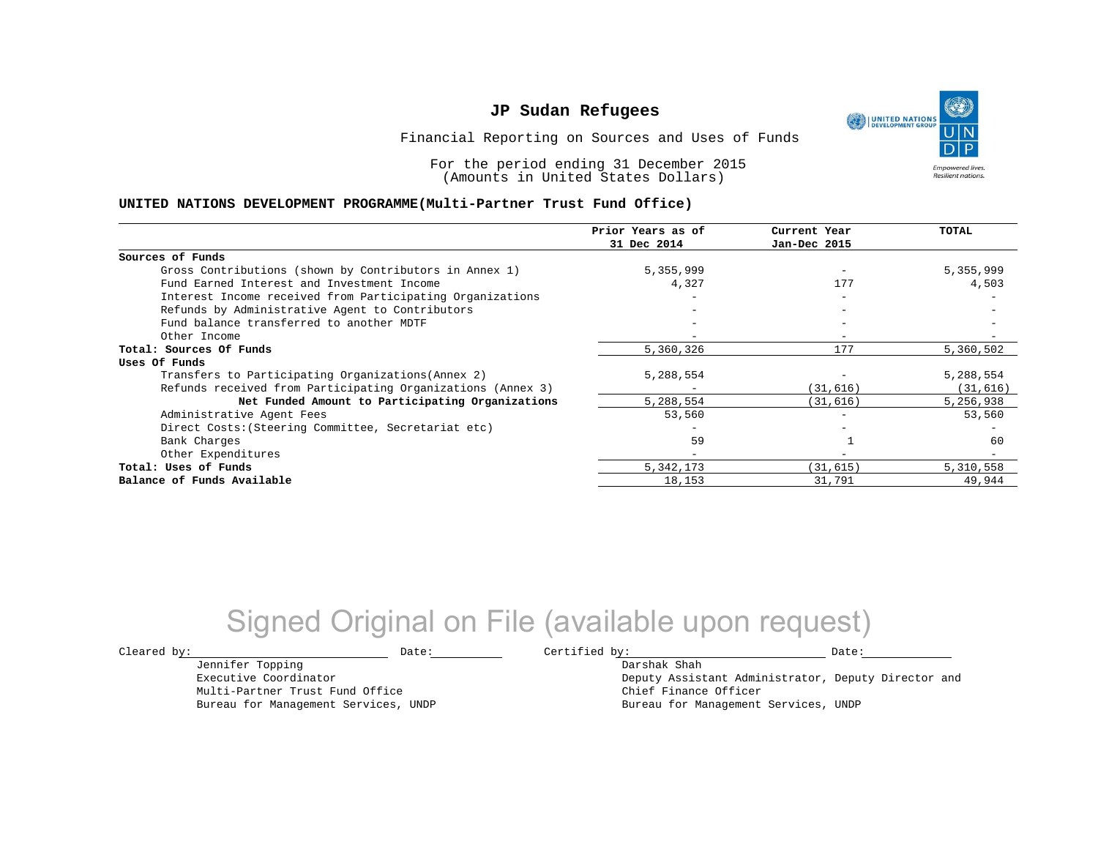UNITED NATIONS

**Empowered lives Resilient nations.** 

Financial Reporting on Sources and Uses of Funds

For the period ending 31 December 2015 (Amounts in United States Dollars)

### **UNITED NATIONS DEVELOPMENT PROGRAMME(Multi-Partner Trust Fund Office)**

|                                                             | Prior Years as of<br>31 Dec 2014 | Current Year<br>Jan-Dec 2015 | TOTAL     |
|-------------------------------------------------------------|----------------------------------|------------------------------|-----------|
|                                                             |                                  |                              |           |
| Sources of Funds                                            |                                  |                              |           |
| Gross Contributions (shown by Contributors in Annex 1)      | 5,355,999                        |                              | 5,355,999 |
| Fund Earned Interest and Investment Income                  | 4,327                            | 177                          | 4,503     |
| Interest Income received from Participating Organizations   |                                  |                              |           |
| Refunds by Administrative Agent to Contributors             |                                  | $\overline{\phantom{m}}$     |           |
| Fund balance transferred to another MDTF                    |                                  |                              |           |
| Other Income                                                |                                  |                              |           |
| Total: Sources Of Funds                                     | 5,360,326                        | 177                          | 5,360,502 |
| Uses Of Funds                                               |                                  |                              |           |
| Transfers to Participating Organizations (Annex 2)          | 5,288,554                        |                              | 5,288,554 |
| Refunds received from Participating Organizations (Annex 3) | -                                | (31, 616)                    | (31, 616) |
| Net Funded Amount to Participating Organizations            | 5,288,554                        | (31, 616)                    | 5,256,938 |
| Administrative Agent Fees                                   | 53,560                           |                              | 53,560    |
| Direct Costs: (Steering Committee, Secretariat etc)         |                                  |                              |           |
| Bank Charges                                                | 59                               |                              | 60        |
| Other Expenditures                                          | -                                |                              |           |
| Total: Uses of Funds                                        | 5,342,173                        | (31, 615)                    | 5,310,558 |
| Balance of Funds Available                                  | 18,153                           | 31,791                       | 49,944    |

## Signed Original on File (available upon request)

Jennifer Topping Executive Coordinator Multi-Partner Trust Fund Office Bureau for Management Services, UNDP

 $\texttt{Cleared by:}\footnotesize \begin{minipage}{0.9\linewidth} \texttt{Date:}\footnotesize \begin{minipage}{0.9\linewidth} \texttt{Date:}\footnotesize \begin{minipage}{0.9\linewidth} \end{minipage} \end{minipage}$ 

Darshak Shah

Deputy Assistant Administrator, Deputy Director and Chief Finance Officer Bureau for Management Services, UNDP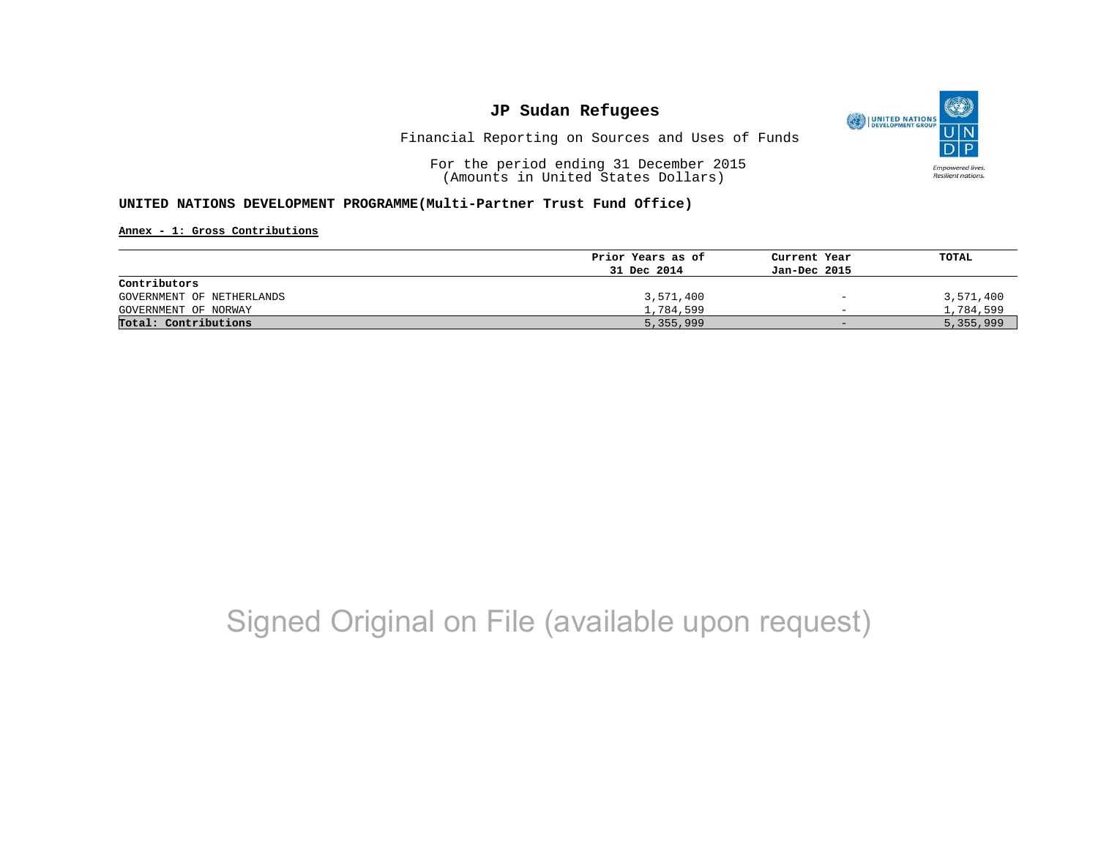

Financial Reporting on Sources and Uses of Funds

For the period ending 31 December 2015 (Amounts in United States Dollars)

### **UNITED NATIONS DEVELOPMENT PROGRAMME(Multi-Partner Trust Fund Office)**

**Annex - 1: Gross Contributions**

|                           | Prior Years as of | Current Year             | TOTAL     |
|---------------------------|-------------------|--------------------------|-----------|
|                           | 31 Dec 2014       | Jan-Dec 2015             |           |
| Contributors              |                   |                          |           |
| GOVERNMENT OF NETHERLANDS | 3,571,400         | $\overline{\phantom{a}}$ | 3,571,400 |
| GOVERNMENT OF NORWAY      | 1,784,599         | $\overline{\phantom{0}}$ | 1,784,599 |
| Total: Contributions      | 5,355,999         | $-$                      | 5,355,999 |

# Signed Original on File (available upon request)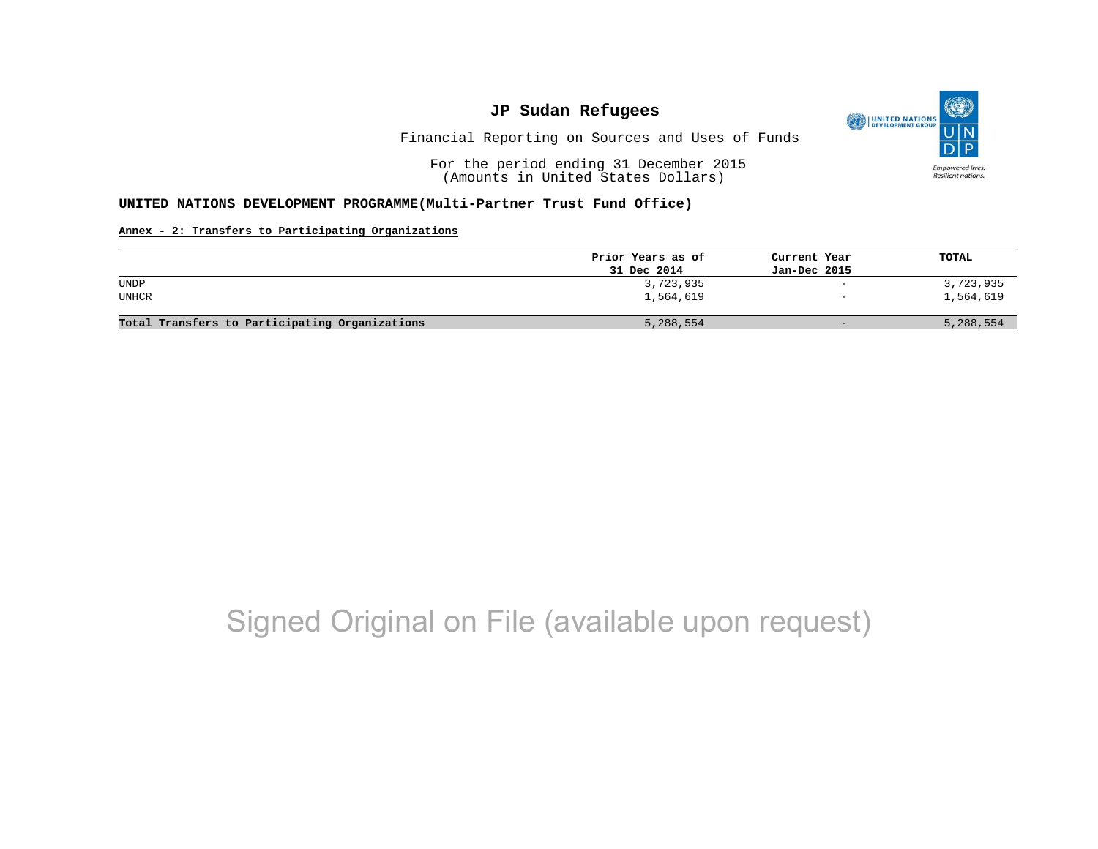

Financial Reporting on Sources and Uses of Funds

For the period ending 31 December 2015 (Amounts in United States Dollars)

#### **UNITED NATIONS DEVELOPMENT PROGRAMME(Multi-Partner Trust Fund Office)**

#### **Annex - 2: Transfers to Participating Organizations**

|                                                | Prior Years as of | Current Year             | TOTAL     |
|------------------------------------------------|-------------------|--------------------------|-----------|
|                                                | 31 Dec 2014       | Jan-Dec 2015             |           |
| UNDP                                           | 3,723,935         | $\overline{\phantom{a}}$ | 3,723,935 |
| UNHCR                                          | 1,564,619         | $\overline{\phantom{0}}$ | 1,564,619 |
| Total Transfers to Participating Organizations | 5,288,554         | $-$                      | 5,288,554 |

# Signed Original on File (available upon request)